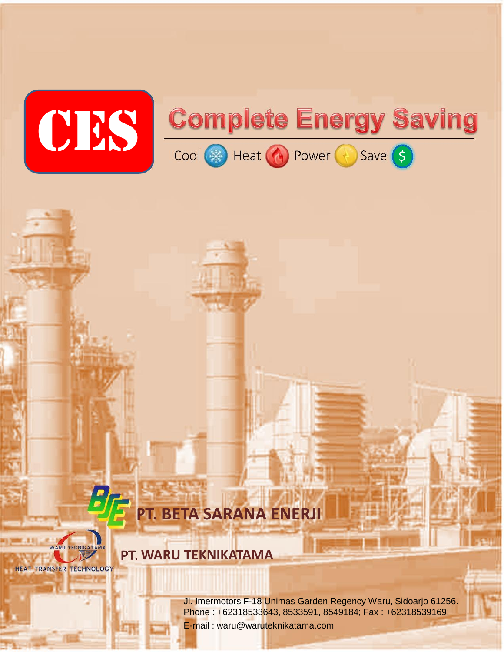

# **PT. BETA SARANA ENERJI**

#### **PT. WARU TEKNIKATAMA**

WARU TEKNIKAT

HEAT TRANSFER TECHNOLOGY

Jl. Imermotors F-18 Unimas Garden Regency Waru, Sidoarjo 61256. Phone : +62318533643, 8533591, 8549184; Fax : +62318539169; E-mail : waru@waruteknikatama.com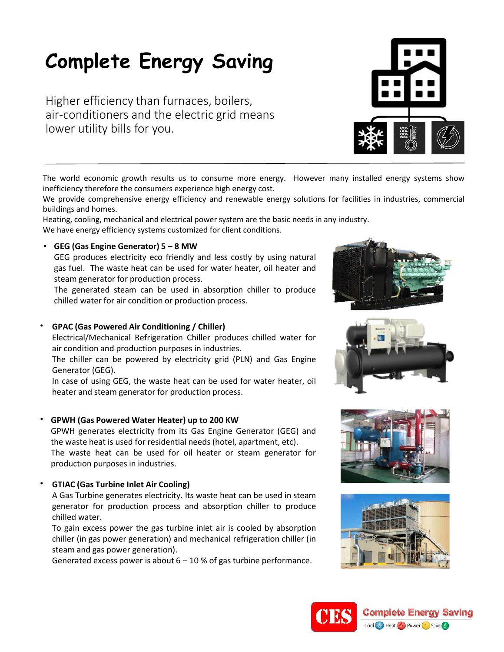## **Complete Energy Saving**

Higher efficiency than furnaces, boilers, air-conditioners and the electric grid means lower utility bills for you.

The world economic growth results us to consume more energy. However many installed energy systems show inefficiency therefore the consumers experience high energy cost.

We provide comprehensive energy efficiency and renewable energy solutions for facilities in industries, commercial buildings and homes.

Heating, cooling, mechanical and electrical power system are the basic needs in any industry. We have energy efficiency systems customized for client conditions.

• **GEG (Gas Engine Generator) 5 – 8 MW**

GEG produces electricity eco friendly and less costly by using natural gas fuel. The waste heat can be used for water heater, oil heater and steam generator for production process.

The generated steam can be used in absorption chiller to produce chilled water for air condition or production process.

#### • **GPAC (Gas Powered Air Conditioning / Chiller)**

Electrical/Mechanical Refrigeration Chiller produces chilled water for air condition and production purposes in industries.

The chiller can be powered by electricity grid (PLN) and Gas Engine Generator (GEG).

In case of using GEG, the waste heat can be used for water heater, oil heater and steam generator for production process.

#### • **GPWH (Gas Powered Water Heater) up to 200 KW**

GPWH generates electricity from its Gas Engine Generator (GEG) and the waste heat is used for residential needs (hotel, apartment, etc). The waste heat can be used for oil heater or steam generator for production purposes in industries.

#### **GTIAC (Gas Turbine Inlet Air Cooling)** •

A Gas Turbine generates electricity. Its waste heat can be used in steam generator for production process and absorption chiller to produce chilled water.

To gain excess power the gas turbine inlet air is cooled by absorption chiller (in gas power generation) and mechanical refrigeration chiller (in steam and gas power generation).

Generated excess power is about  $6 - 10$  % of gas turbine performance.











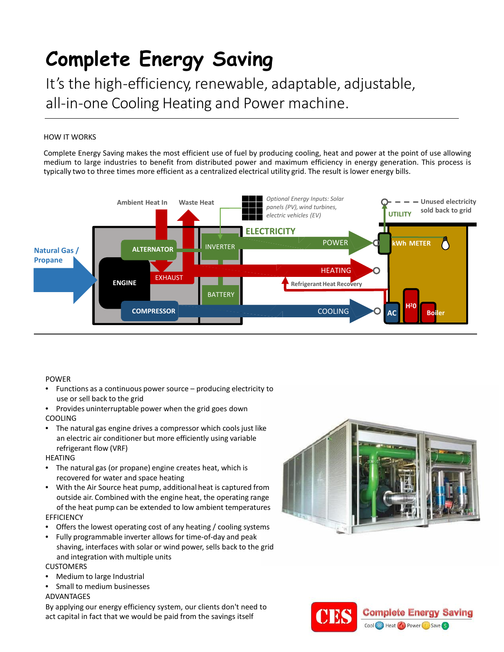## **Complete Energy Saving**

It's the high-efficiency, renewable, adaptable, adjustable, all-in-one Cooling Heating and Power machine.

#### HOW IT WORKS

Complete Energy Saving makes the most efficient use of fuel by producing cooling, heat and power at the point of use allowing medium to large industries to benefit from distributed power and maximum efficiency in energy generation. This process is typically two to three times more efficient as a centralized electrical utility grid. The result is lower energy bills.



#### POWER

- Functions as a continuous power source producing electricity to use or sell back to the grid
- Provides uninterruptable power when the grid goes down COOLING
- The natural gas engine drives a compressor which cools just like an electric air conditioner but more efficiently using variable refrigerant flow (VRF)

#### HEATING

- The natural gas (or propane) engine creates heat, which is recovered for water and space heating
- With the Air Source heat pump, additional heat is captured from outside air. Combined with the engine heat, the operating range of the heat pump can be extended to low ambient temperatures EFFICIENCY
- Offers the lowest operating cost of any heating / cooling systems
- Fully programmable inverter allows for time-of-day and peak shaving, interfaces with solar or wind power, sells back to the grid and integration with multiple units

#### CUSTOMERS

- Medium to large Industrial
- Small to medium businesses

#### ADVANTAGES

By applying our energy efficiency system, our clients don't need to act capital in fact that we would be paid from the savings itself